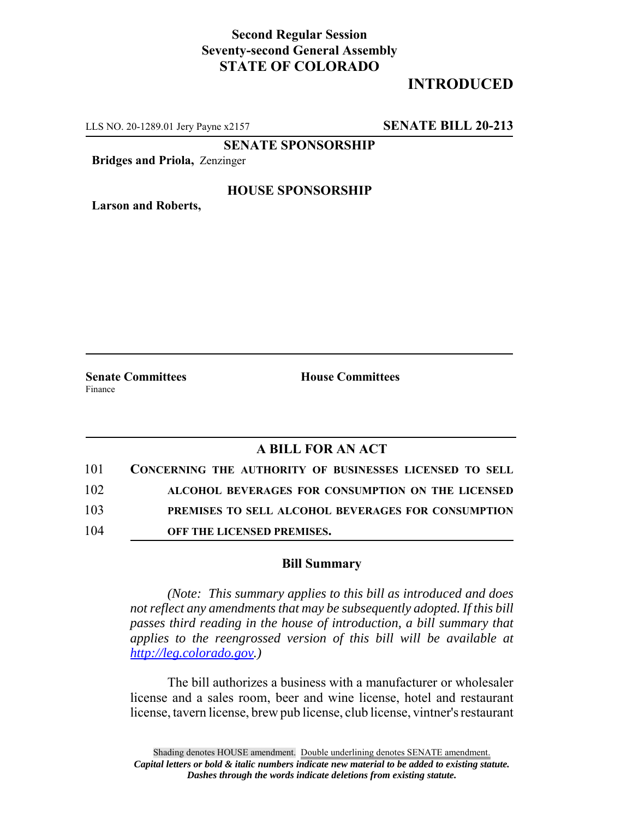## **Second Regular Session Seventy-second General Assembly STATE OF COLORADO**

# **INTRODUCED**

LLS NO. 20-1289.01 Jery Payne x2157 **SENATE BILL 20-213**

**SENATE SPONSORSHIP**

**Bridges and Priola,** Zenzinger

### **HOUSE SPONSORSHIP**

**Larson and Roberts,**

Finance

**Senate Committees House Committees** 

## **A BILL FOR AN ACT**

| 101 | CONCERNING THE AUTHORITY OF BUSINESSES LICENSED TO SELL |
|-----|---------------------------------------------------------|
| 102 | ALCOHOL BEVERAGES FOR CONSUMPTION ON THE LICENSED       |
| 103 | PREMISES TO SELL ALCOHOL BEVERAGES FOR CONSUMPTION      |
| 104 | OFF THE LICENSED PREMISES.                              |

#### **Bill Summary**

*(Note: This summary applies to this bill as introduced and does not reflect any amendments that may be subsequently adopted. If this bill passes third reading in the house of introduction, a bill summary that applies to the reengrossed version of this bill will be available at http://leg.colorado.gov.)*

The bill authorizes a business with a manufacturer or wholesaler license and a sales room, beer and wine license, hotel and restaurant license, tavern license, brew pub license, club license, vintner's restaurant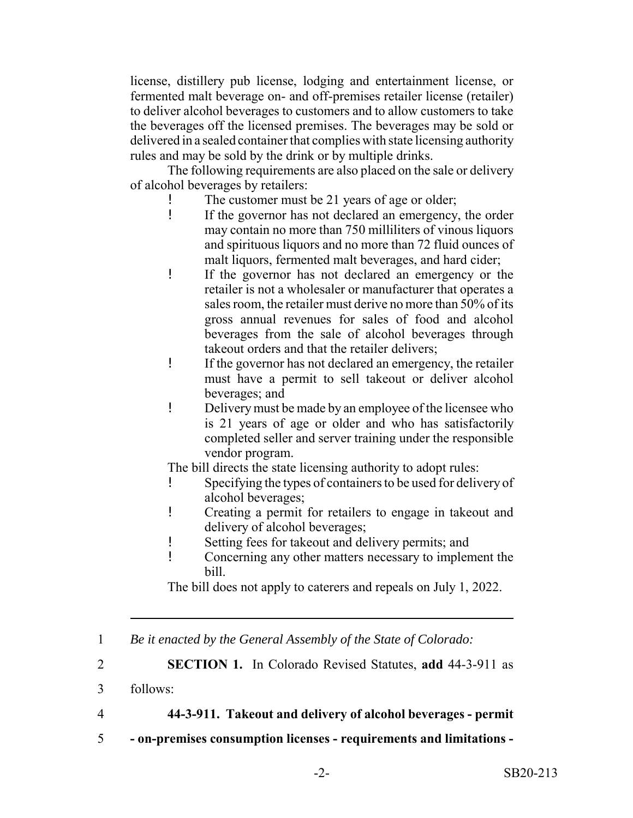license, distillery pub license, lodging and entertainment license, or fermented malt beverage on- and off-premises retailer license (retailer) to deliver alcohol beverages to customers and to allow customers to take the beverages off the licensed premises. The beverages may be sold or delivered in a sealed container that complies with state licensing authority rules and may be sold by the drink or by multiple drinks.

The following requirements are also placed on the sale or delivery of alcohol beverages by retailers:

- The customer must be 21 years of age or older;
- ! If the governor has not declared an emergency, the order may contain no more than 750 milliliters of vinous liquors and spirituous liquors and no more than 72 fluid ounces of malt liquors, fermented malt beverages, and hard cider;
- ! If the governor has not declared an emergency or the retailer is not a wholesaler or manufacturer that operates a sales room, the retailer must derive no more than 50% of its gross annual revenues for sales of food and alcohol beverages from the sale of alcohol beverages through takeout orders and that the retailer delivers;
- ! If the governor has not declared an emergency, the retailer must have a permit to sell takeout or deliver alcohol beverages; and
- ! Delivery must be made by an employee of the licensee who is 21 years of age or older and who has satisfactorily completed seller and server training under the responsible vendor program.

The bill directs the state licensing authority to adopt rules:

- ! Specifying the types of containers to be used for delivery of alcohol beverages;
- ! Creating a permit for retailers to engage in takeout and delivery of alcohol beverages;
- ! Setting fees for takeout and delivery permits; and
- ! Concerning any other matters necessary to implement the bill.

The bill does not apply to caterers and repeals on July 1, 2022.

1 *Be it enacted by the General Assembly of the State of Colorado:*

2 **SECTION 1.** In Colorado Revised Statutes, **add** 44-3-911 as

4 **44-3-911. Takeout and delivery of alcohol beverages - permit**

5 **- on-premises consumption licenses - requirements and limitations -**

<sup>3</sup> follows: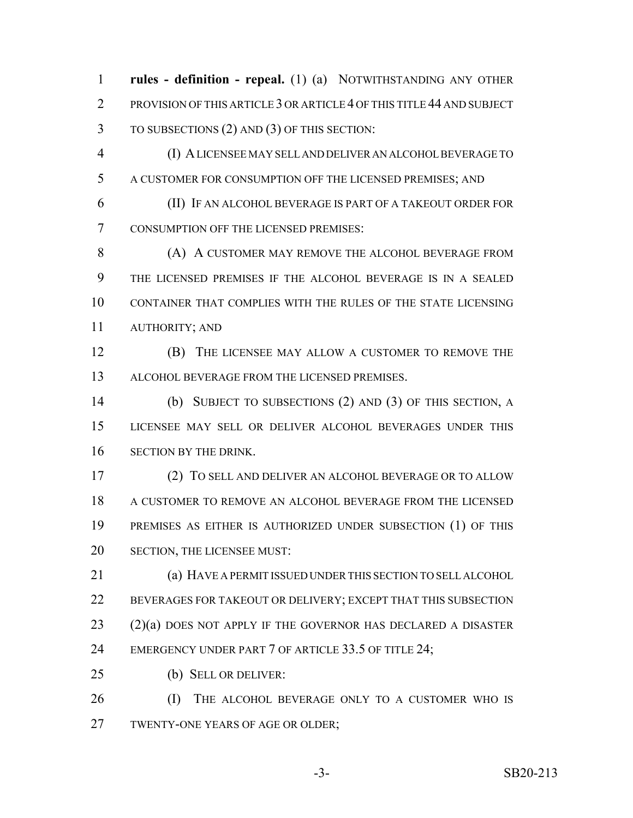**rules - definition - repeal.** (1) (a) NOTWITHSTANDING ANY OTHER 2 PROVISION OF THIS ARTICLE 3 OR ARTICLE 4 OF THIS TITLE 44 AND SUBJECT TO SUBSECTIONS (2) AND (3) OF THIS SECTION:

 (I) A LICENSEE MAY SELL AND DELIVER AN ALCOHOL BEVERAGE TO A CUSTOMER FOR CONSUMPTION OFF THE LICENSED PREMISES; AND

 (II) IF AN ALCOHOL BEVERAGE IS PART OF A TAKEOUT ORDER FOR CONSUMPTION OFF THE LICENSED PREMISES:

**(A) A CUSTOMER MAY REMOVE THE ALCOHOL BEVERAGE FROM**  THE LICENSED PREMISES IF THE ALCOHOL BEVERAGE IS IN A SEALED CONTAINER THAT COMPLIES WITH THE RULES OF THE STATE LICENSING AUTHORITY; AND

 (B) THE LICENSEE MAY ALLOW A CUSTOMER TO REMOVE THE ALCOHOL BEVERAGE FROM THE LICENSED PREMISES.

 (b) SUBJECT TO SUBSECTIONS (2) AND (3) OF THIS SECTION, A LICENSEE MAY SELL OR DELIVER ALCOHOL BEVERAGES UNDER THIS SECTION BY THE DRINK.

 (2) TO SELL AND DELIVER AN ALCOHOL BEVERAGE OR TO ALLOW A CUSTOMER TO REMOVE AN ALCOHOL BEVERAGE FROM THE LICENSED PREMISES AS EITHER IS AUTHORIZED UNDER SUBSECTION (1) OF THIS SECTION, THE LICENSEE MUST:

 (a) HAVE A PERMIT ISSUED UNDER THIS SECTION TO SELL ALCOHOL BEVERAGES FOR TAKEOUT OR DELIVERY; EXCEPT THAT THIS SUBSECTION (2)(a) DOES NOT APPLY IF THE GOVERNOR HAS DECLARED A DISASTER 24 EMERGENCY UNDER PART 7 OF ARTICLE 33.5 OF TITLE 24;

(b) SELL OR DELIVER:

 (I) THE ALCOHOL BEVERAGE ONLY TO A CUSTOMER WHO IS TWENTY-ONE YEARS OF AGE OR OLDER;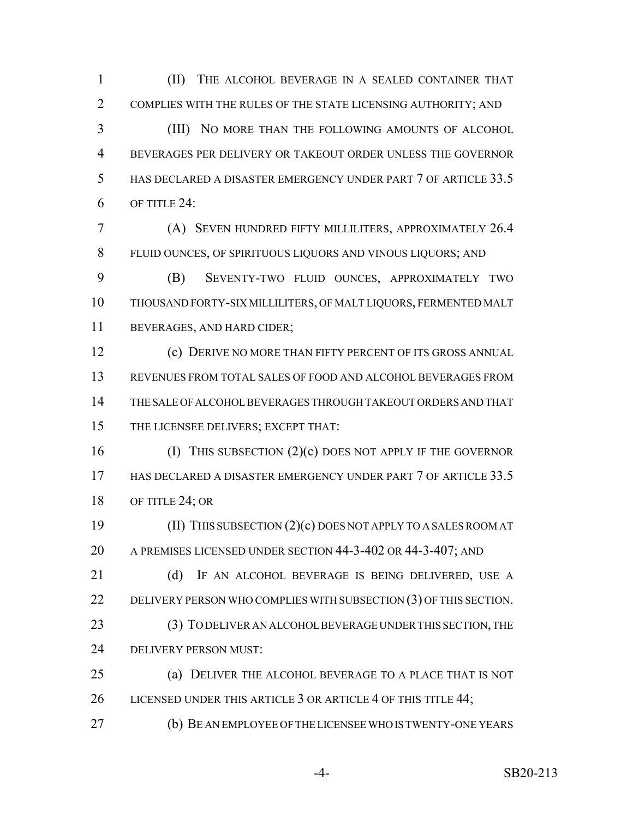(II) THE ALCOHOL BEVERAGE IN A SEALED CONTAINER THAT COMPLIES WITH THE RULES OF THE STATE LICENSING AUTHORITY; AND

 (III) NO MORE THAN THE FOLLOWING AMOUNTS OF ALCOHOL BEVERAGES PER DELIVERY OR TAKEOUT ORDER UNLESS THE GOVERNOR 5 HAS DECLARED A DISASTER EMERGENCY UNDER PART 7 OF ARTICLE 33.5 OF TITLE 24:

 (A) SEVEN HUNDRED FIFTY MILLILITERS, APPROXIMATELY 26.4 FLUID OUNCES, OF SPIRITUOUS LIQUORS AND VINOUS LIQUORS; AND

 (B) SEVENTY-TWO FLUID OUNCES, APPROXIMATELY TWO THOUSAND FORTY-SIX MILLILITERS, OF MALT LIQUORS, FERMENTED MALT BEVERAGES, AND HARD CIDER;

 (c) DERIVE NO MORE THAN FIFTY PERCENT OF ITS GROSS ANNUAL REVENUES FROM TOTAL SALES OF FOOD AND ALCOHOL BEVERAGES FROM THE SALE OF ALCOHOL BEVERAGES THROUGH TAKEOUT ORDERS AND THAT THE LICENSEE DELIVERS; EXCEPT THAT:

 (I) THIS SUBSECTION (2)(c) DOES NOT APPLY IF THE GOVERNOR HAS DECLARED A DISASTER EMERGENCY UNDER PART 7 OF ARTICLE 33.5 18 OF TITLE 24; OR

 (II) THIS SUBSECTION (2)(c) DOES NOT APPLY TO A SALES ROOM AT A PREMISES LICENSED UNDER SECTION 44-3-402 OR 44-3-407; AND

21 (d) IF AN ALCOHOL BEVERAGE IS BEING DELIVERED, USE A DELIVERY PERSON WHO COMPLIES WITH SUBSECTION (3) OF THIS SECTION. (3) TO DELIVER AN ALCOHOL BEVERAGE UNDER THIS SECTION, THE DELIVERY PERSON MUST:

 (a) DELIVER THE ALCOHOL BEVERAGE TO A PLACE THAT IS NOT 26 LICENSED UNDER THIS ARTICLE 3 OR ARTICLE 4 OF THIS TITLE 44;

(b) BE AN EMPLOYEE OF THE LICENSEE WHO IS TWENTY-ONE YEARS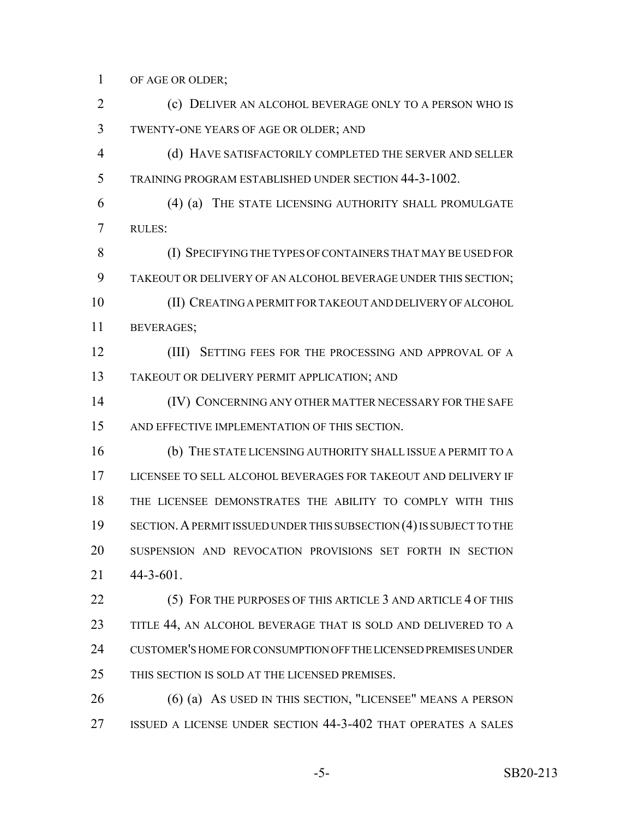OF AGE OR OLDER;

 (c) DELIVER AN ALCOHOL BEVERAGE ONLY TO A PERSON WHO IS TWENTY-ONE YEARS OF AGE OR OLDER; AND (d) HAVE SATISFACTORILY COMPLETED THE SERVER AND SELLER TRAINING PROGRAM ESTABLISHED UNDER SECTION 44-3-1002. (4) (a) THE STATE LICENSING AUTHORITY SHALL PROMULGATE RULES: (I) SPECIFYING THE TYPES OF CONTAINERS THAT MAY BE USED FOR TAKEOUT OR DELIVERY OF AN ALCOHOL BEVERAGE UNDER THIS SECTION; (II) CREATING A PERMIT FOR TAKEOUT AND DELIVERY OF ALCOHOL BEVERAGES; **(III) SETTING FEES FOR THE PROCESSING AND APPROVAL OF A**  TAKEOUT OR DELIVERY PERMIT APPLICATION; AND (IV) CONCERNING ANY OTHER MATTER NECESSARY FOR THE SAFE AND EFFECTIVE IMPLEMENTATION OF THIS SECTION. (b) THE STATE LICENSING AUTHORITY SHALL ISSUE A PERMIT TO A LICENSEE TO SELL ALCOHOL BEVERAGES FOR TAKEOUT AND DELIVERY IF THE LICENSEE DEMONSTRATES THE ABILITY TO COMPLY WITH THIS SECTION.A PERMIT ISSUED UNDER THIS SUBSECTION (4) IS SUBJECT TO THE SUSPENSION AND REVOCATION PROVISIONS SET FORTH IN SECTION 44-3-601.

22 (5) FOR THE PURPOSES OF THIS ARTICLE 3 AND ARTICLE 4 OF THIS TITLE 44, AN ALCOHOL BEVERAGE THAT IS SOLD AND DELIVERED TO A CUSTOMER'S HOME FOR CONSUMPTION OFF THE LICENSED PREMISES UNDER THIS SECTION IS SOLD AT THE LICENSED PREMISES.

 (6) (a) AS USED IN THIS SECTION, "LICENSEE" MEANS A PERSON ISSUED A LICENSE UNDER SECTION 44-3-402 THAT OPERATES A SALES